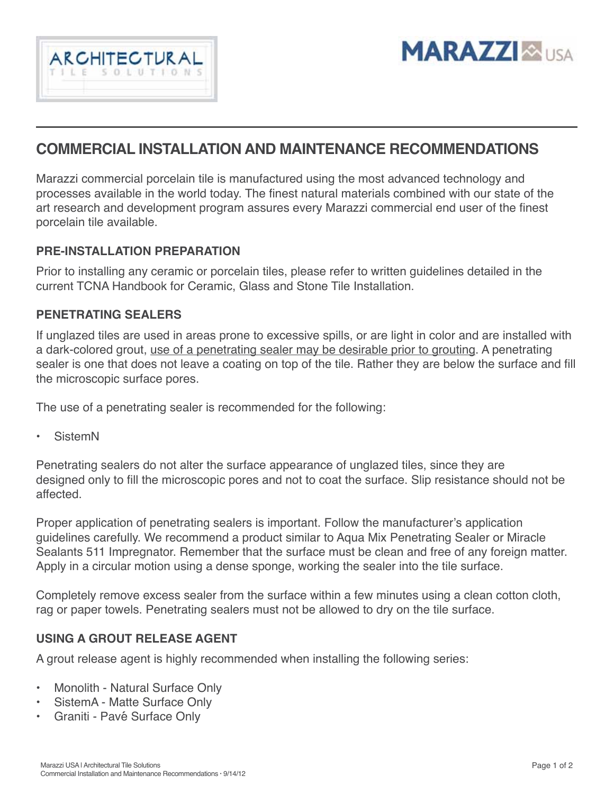



# **COMMERCIAL INSTALLATION AND MAINTENANCE RECOMMENDATIONS**

Marazzi commercial porcelain tile is manufactured using the most advanced technology and processes available in the world today. The finest natural materials combined with our state of the art research and development program assures every Marazzi commercial end user of the finest porcelain tile available.

#### **PRE-INSTALLATION PREPARATION**

Prior to installing any ceramic or porcelain tiles, please refer to written guidelines detailed in the current TCNA Handbook for Ceramic, Glass and Stone Tile Installation.

#### **PENETRATING SEALERS**

If unglazed tiles are used in areas prone to excessive spills, or are light in color and are installed with a dark-colored grout, use of a penetrating sealer may be desirable prior to grouting. A penetrating sealer is one that does not leave a coating on top of the tile. Rather they are below the surface and fill the microscopic surface pores.

The use of a penetrating sealer is recommended for the following:

**SistemN** 

Penetrating sealers do not alter the surface appearance of unglazed tiles, since they are designed only to fill the microscopic pores and not to coat the surface. Slip resistance should not be affected.

Proper application of penetrating sealers is important. Follow the manufacturer's application guidelines carefully. We recommend a product similar to Aqua Mix Penetrating Sealer or Miracle Sealants 511 Impregnator. Remember that the surface must be clean and free of any foreign matter. Apply in a circular motion using a dense sponge, working the sealer into the tile surface.

Completely remove excess sealer from the surface within a few minutes using a clean cotton cloth, rag or paper towels. Penetrating sealers must not be allowed to dry on the tile surface.

#### **USING A GROUT RELEASE AGENT**

A grout release agent is highly recommended when installing the following series:

- Monolith Natural Surface Only
- SistemA Matte Surface Only
- Graniti Pave**́** Surface Only